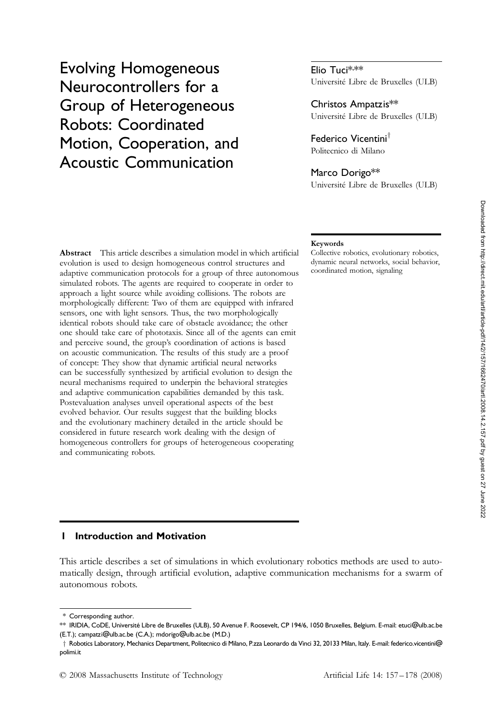# Evolving Homogeneous Neurocontrollers for a Group of Heterogeneous Robots: Coordinated Motion, Cooperation, and Acoustic Communication

# Elio Tuci\*,\*\*

Université Libre de Bruxelles (ULB)

#### Christos Ampatzis\*\*

Universite´ Libre de Bruxelles (ULB)

#### Federico Vicentini<sup>†</sup>

Politecnico di Milano

### Marco Dorigo\*\*

Universite´ Libre de Bruxelles (ULB)

#### Keywords

Collective robotics, evolutionary robotics, dynamic neural networks, social behavior, coordinated motion, signaling

Abstract This article describes a simulation model in which artificial evolution is used to design homogeneous control structures and adaptive communication protocols for a group of three autonomous simulated robots. The agents are required to cooperate in order to approach a light source while avoiding collisions. The robots are morphologically different: Two of them are equipped with infrared sensors, one with light sensors. Thus, the two morphologically identical robots should take care of obstacle avoidance; the other one should take care of phototaxis. Since all of the agents can emit and perceive sound, the group's coordination of actions is based on acoustic communication. The results of this study are a proof of concept: They show that dynamic artificial neural networks can be successfully synthesized by artificial evolution to design the neural mechanisms required to underpin the behavioral strategies and adaptive communication capabilities demanded by this task. Postevaluation analyses unveil operational aspects of the best evolved behavior. Our results suggest that the building blocks and the evolutionary machinery detailed in the article should be considered in future research work dealing with the design of homogeneous controllers for groups of heterogeneous cooperating and communicating robots.

# 1 Introduction and Motivation

This article describes a set of simulations in which evolutionary robotics methods are used to automatically design, through artificial evolution, adaptive communication mechanisms for a swarm of autonomous robots.

<sup>\*</sup> Corresponding author.

<sup>\*\*</sup> IRIDIA, CoDE, Université Libre de Bruxelles (ULB), 50 Avenue F. Roosevelt, CP 194/6, 1050 Bruxelles, Belgium. E-mail: etuci@ulb.ac.be (E.T.); campatzi@ulb.ac.be (C.A.); mdorigo@ulb.ac.be (M.D.)

y Robotics Laboratory, Mechanics Department, Politecnico di Milano, P.zza Leonardo da Vinci 32, 20133 Milan, Italy. E-mail: federico.vicentini@ polimi.it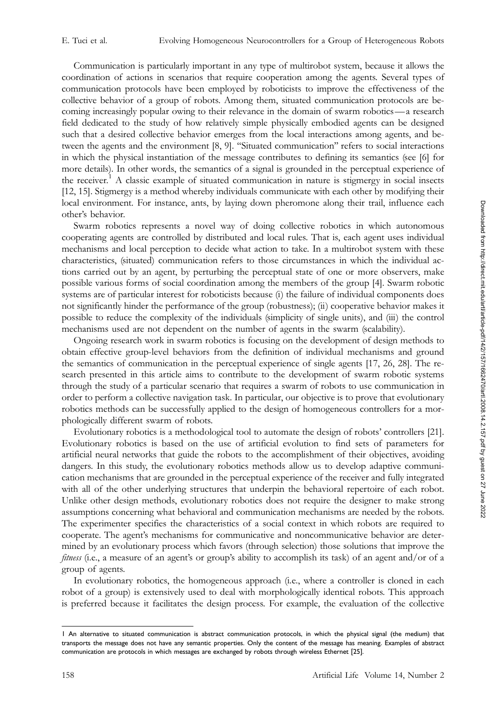Communication is particularly important in any type of multirobot system, because it allows the coordination of actions in scenarios that require cooperation among the agents. Several types of communication protocols have been employed by roboticists to improve the effectiveness of the collective behavior of a group of robots. Among them, situated communication protocols are becoming increasingly popular owing to their relevance in the domain of swarm robotics— a research field dedicated to the study of how relatively simple physically embodied agents can be designed such that a desired collective behavior emerges from the local interactions among agents, and between the agents and the environment [8, 9]. ''Situated communication'' refers to social interactions in which the physical instantiation of the message contributes to defining its semantics (see [6] for more details). In other words, the semantics of a signal is grounded in the perceptual experience of the receiver.<sup>1</sup> A classic example of situated communication in nature is stigmergy in social insects [12, 15]. Stigmergy is a method whereby individuals communicate with each other by modifying their local environment. For instance, ants, by laying down pheromone along their trail, influence each other's behavior.

Swarm robotics represents a novel way of doing collective robotics in which autonomous cooperating agents are controlled by distributed and local rules. That is, each agent uses individual mechanisms and local perception to decide what action to take. In a multirobot system with these characteristics, (situated) communication refers to those circumstances in which the individual actions carried out by an agent, by perturbing the perceptual state of one or more observers, make possible various forms of social coordination among the members of the group [4]. Swarm robotic systems are of particular interest for roboticists because (i) the failure of individual components does not significantly hinder the performance of the group (robustness); (ii) cooperative behavior makes it possible to reduce the complexity of the individuals (simplicity of single units), and (iii) the control mechanisms used are not dependent on the number of agents in the swarm (scalability).

Ongoing research work in swarm robotics is focusing on the development of design methods to obtain effective group-level behaviors from the definition of individual mechanisms and ground the semantics of communication in the perceptual experience of single agents [17, 26, 28]. The research presented in this article aims to contribute to the development of swarm robotic systems through the study of a particular scenario that requires a swarm of robots to use communication in order to perform a collective navigation task. In particular, our objective is to prove that evolutionary robotics methods can be successfully applied to the design of homogeneous controllers for a morphologically different swarm of robots.

Evolutionary robotics is a methodological tool to automate the design of robots' controllers [21]. Evolutionary robotics is based on the use of artificial evolution to find sets of parameters for artificial neural networks that guide the robots to the accomplishment of their objectives, avoiding dangers. In this study, the evolutionary robotics methods allow us to develop adaptive communication mechanisms that are grounded in the perceptual experience of the receiver and fully integrated with all of the other underlying structures that underpin the behavioral repertoire of each robot. Unlike other design methods, evolutionary robotics does not require the designer to make strong assumptions concerning what behavioral and communication mechanisms are needed by the robots. The experimenter specifies the characteristics of a social context in which robots are required to cooperate. The agent's mechanisms for communicative and noncommunicative behavior are determined by an evolutionary process which favors (through selection) those solutions that improve the fitness (i.e., a measure of an agent's or group's ability to accomplish its task) of an agent and/or of a group of agents.

In evolutionary robotics, the homogeneous approach (i.e., where a controller is cloned in each robot of a group) is extensively used to deal with morphologically identical robots. This approach is preferred because it facilitates the design process. For example, the evaluation of the collective

<sup>1</sup> An alternative to situated communication is abstract communication protocols, in which the physical signal (the medium) that transports the message does not have any semantic properties. Only the content of the message has meaning. Examples of abstract communication are protocols in which messages are exchanged by robots through wireless Ethernet [25].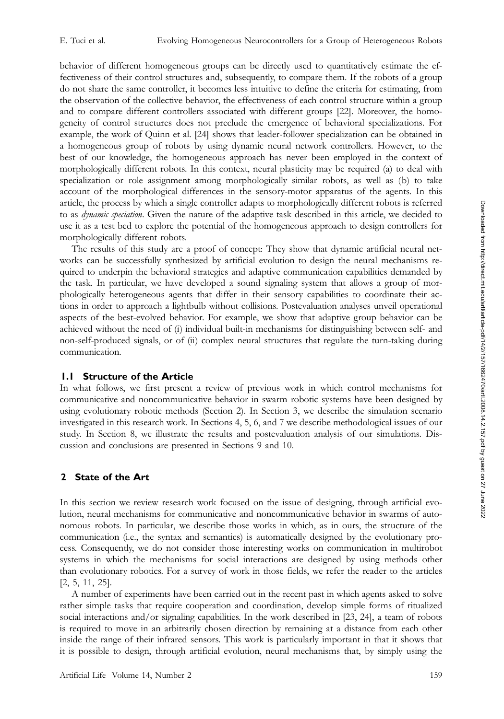behavior of different homogeneous groups can be directly used to quantitatively estimate the effectiveness of their control structures and, subsequently, to compare them. If the robots of a group do not share the same controller, it becomes less intuitive to define the criteria for estimating, from the observation of the collective behavior, the effectiveness of each control structure within a group and to compare different controllers associated with different groups [22]. Moreover, the homogeneity of control structures does not preclude the emergence of behavioral specializations. For example, the work of Quinn et al. [24] shows that leader-follower specialization can be obtained in a homogeneous group of robots by using dynamic neural network controllers. However, to the best of our knowledge, the homogeneous approach has never been employed in the context of morphologically different robots. In this context, neural plasticity may be required (a) to deal with specialization or role assignment among morphologically similar robots, as well as (b) to take account of the morphological differences in the sensory-motor apparatus of the agents. In this article, the process by which a single controller adapts to morphologically different robots is referred to as *dynamic speciation*. Given the nature of the adaptive task described in this article, we decided to use it as a test bed to explore the potential of the homogeneous approach to design controllers for morphologically different robots.

The results of this study are a proof of concept: They show that dynamic artificial neural networks can be successfully synthesized by artificial evolution to design the neural mechanisms required to underpin the behavioral strategies and adaptive communication capabilities demanded by the task. In particular, we have developed a sound signaling system that allows a group of morphologically heterogeneous agents that differ in their sensory capabilities to coordinate their actions in order to approach a lightbulb without collisions. Postevaluation analyses unveil operational aspects of the best-evolved behavior. For example, we show that adaptive group behavior can be achieved without the need of (i) individual built-in mechanisms for distinguishing between self- and non-self-produced signals, or of (ii) complex neural structures that regulate the turn-taking during communication.

#### 1.1 Structure of the Article

In what follows, we first present a review of previous work in which control mechanisms for communicative and noncommunicative behavior in swarm robotic systems have been designed by using evolutionary robotic methods (Section 2). In Section 3, we describe the simulation scenario investigated in this research work. In Sections 4, 5, 6, and 7 we describe methodological issues of our study. In Section 8, we illustrate the results and postevaluation analysis of our simulations. Discussion and conclusions are presented in Sections 9 and 10.

# 2 State of the Art

In this section we review research work focused on the issue of designing, through artificial evolution, neural mechanisms for communicative and noncommunicative behavior in swarms of autonomous robots. In particular, we describe those works in which, as in ours, the structure of the communication (i.e., the syntax and semantics) is automatically designed by the evolutionary process. Consequently, we do not consider those interesting works on communication in multirobot systems in which the mechanisms for social interactions are designed by using methods other than evolutionary robotics. For a survey of work in those fields, we refer the reader to the articles [2, 5, 11, 25].

A number of experiments have been carried out in the recent past in which agents asked to solve rather simple tasks that require cooperation and coordination, develop simple forms of ritualized social interactions and/or signaling capabilities. In the work described in [23, 24], a team of robots is required to move in an arbitrarily chosen direction by remaining at a distance from each other inside the range of their infrared sensors. This work is particularly important in that it shows that it is possible to design, through artificial evolution, neural mechanisms that, by simply using the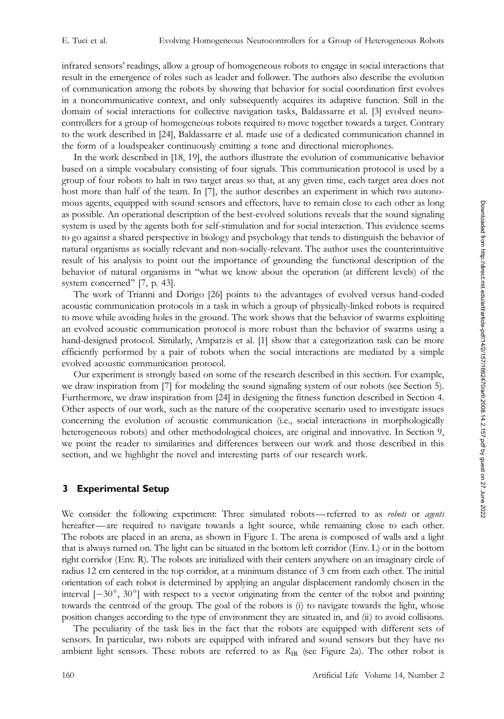infrared sensors' readings, allow a group of homogeneous robots to engage in social interactions that result in the emergence of roles such as leader and follower. The authors also describe the evolution of communication among the robots by showing that behavior for social coordination first evolves in a noncommunicative context, and only subsequently acquires its adaptive function. Still in the domain of social interactions for collective navigation tasks, Baldassarre et al. [3] evolved neurocontrollers for a group of homogeneous robots required to move together towards a target. Contrary to the work described in [24], Baldassarre et al. made use of a dedicated communication channel in the form of a loudspeaker continuously emitting a tone and directional microphones.

In the work described in [18, 19], the authors illustrate the evolution of communicative behavior based on a simple vocabulary consisting of four signals. This communication protocol is used by a group of four robots to halt in two target areas so that, at any given time, each target area does not host more than half of the team. In [7], the author describes an experiment in which two autonomous agents, equipped with sound sensors and effectors, have to remain close to each other as long as possible. An operational description of the best-evolved solutions reveals that the sound signaling system is used by the agents both for self-stimulation and for social interaction. This evidence seems to go against a shared perspective in biology and psychology that tends to distinguish the behavior of natural organisms as socially relevant and non-socially-relevant. The author uses the counterintuitive result of his analysis to point out the importance of grounding the functional description of the behavior of natural organisms in ''what we know about the operation (at different levels) of the system concerned'' [7, p. 43].

The work of Trianni and Dorigo [26] points to the advantages of evolved versus hand-coded acoustic communication protocols in a task in which a group of physically-linked robots is required to move while avoiding holes in the ground. The work shows that the behavior of swarms exploiting an evolved acoustic communication protocol is more robust than the behavior of swarms using a hand-designed protocol. Similarly, Ampatzis et al. [1] show that a categorization task can be more efficiently performed by a pair of robots when the social interactions are mediated by a simple evolved acoustic communication protocol.

Our experiment is strongly based on some of the research described in this section. For example, we draw inspiration from [7] for modeling the sound signaling system of our robots (see Section 5). Furthermore, we draw inspiration from [24] in designing the fitness function described in Section 4. Other aspects of our work, such as the nature of the cooperative scenario used to investigate issues concerning the evolution of acoustic communication (i.e., social interactions in morphologically heterogeneous robots) and other methodological choices, are original and innovative. In Section 9, we point the reader to similarities and differences between our work and those described in this section, and we highlight the novel and interesting parts of our research work.

#### 3 Experimental Setup

We consider the following experiment: Three simulated robots—referred to as *robots* or *agents* hereafter—are required to navigate towards a light source, while remaining close to each other. The robots are placed in an arena, as shown in Figure 1. The arena is composed of walls and a light that is always turned on. The light can be situated in the bottom left corridor (Env. L) or in the bottom right corridor (Env. R). The robots are initialized with their centers anywhere on an imaginary circle of radius 12 cm centered in the top corridor, at a minimum distance of 3 cm from each other. The initial orientation of each robot is determined by applying an angular displacement randomly chosen in the interval  $[-30^\circ, 30^\circ]$  with respect to a vector originating from the center of the robot and pointing towards the centroid of the group. The goal of the robots is (i) to navigate towards the light, whose position changes according to the type of environment they are situated in, and (ii) to avoid collisions.

The peculiarity of the task lies in the fact that the robots are equipped with different sets of sensors. In particular, two robots are equipped with infrared and sound sensors but they have no ambient light sensors. These robots are referred to as RIR (see Figure 2a). The other robot is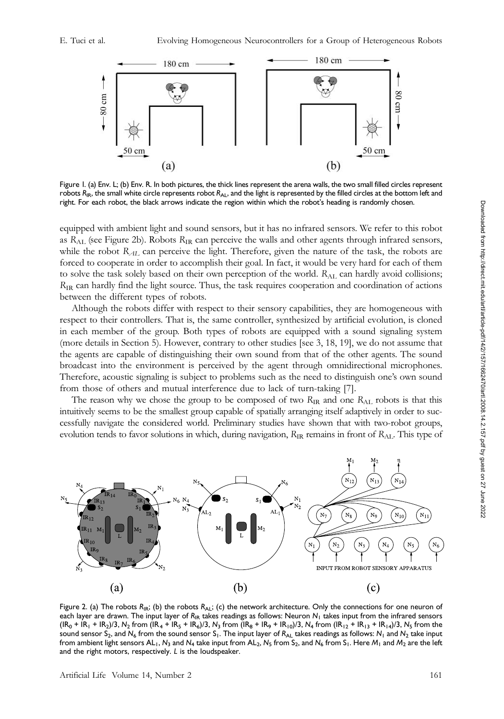

Figure 1. (a) Env. L; (b) Env. R. In both pictures, the thick lines represent the arena walls, the two small filled circles represent robots R<sub>IR</sub>, the small white circle represents robot R<sub>AL</sub>, and the light is represented by the filled circles at the bottom left and right. For each robot, the black arrows indicate the region within which the robot's heading is randomly chosen.

equipped with ambient light and sound sensors, but it has no infrared sensors. We refer to this robot as  $R_{AL}$  (see Figure 2b). Robots  $R_{IR}$  can perceive the walls and other agents through infrared sensors, while the robot  $R_{AL}$  can perceive the light. Therefore, given the nature of the task, the robots are forced to cooperate in order to accomplish their goal. In fact, it would be very hard for each of them to solve the task solely based on their own perception of the world. R<sub>AL</sub> can hardly avoid collisions;  $R_{IR}$  can hardly find the light source. Thus, the task requires cooperation and coordination of actions between the different types of robots.

Although the robots differ with respect to their sensory capabilities, they are homogeneous with respect to their controllers. That is, the same controller, synthesized by artificial evolution, is cloned in each member of the group. Both types of robots are equipped with a sound signaling system (more details in Section 5). However, contrary to other studies [see 3, 18, 19], we do not assume that the agents are capable of distinguishing their own sound from that of the other agents. The sound broadcast into the environment is perceived by the agent through omnidirectional microphones. Therefore, acoustic signaling is subject to problems such as the need to distinguish one's own sound from those of others and mutual interference due to lack of turn-taking [7].

The reason why we chose the group to be composed of two  $R_{IR}$  and one  $R_{AL}$  robots is that this intuitively seems to be the smallest group capable of spatially arranging itself adaptively in order to successfully navigate the considered world. Preliminary studies have shown that with two-robot groups, evolution tends to favor solutions in which, during navigation,  $R_{IR}$  remains in front of  $R_{AL}$ . This type of



Figure 2. (a) The robots  $R_{IR}$ ; (b) the robots  $R_{AL}$ ; (c) the network architecture. Only the connections for one neuron of each layer are drawn. The input layer of  $R_{IR}$  takes readings as follows: Neuron  $N_1$  takes input from the infrared sensors  $(R_0 + IR_1 + IR_2)/3$ ,  $N_2$  from  $(IR_4 + IR_5 + IR_6)/3$ ,  $N_3$  from  $(IR_8 + IR_9 + IR_{10})/3$ ,  $N_4$  from  $(IR_{12} + IR_{13} + IR_{14})/3$ ,  $N_5$  from the sound sensor S<sub>2</sub>, and N<sub>6</sub> from the sound sensor S<sub>1</sub>. The input layer of R<sub>AL</sub> takes readings as follows: N<sub>1</sub> and N<sub>2</sub> take input from ambient light sensors AL<sub>1</sub>, N<sub>3</sub> and N<sub>4</sub> take input from AL<sub>2</sub>, N<sub>5</sub> from S<sub>2</sub>, and N<sub>6</sub> from S<sub>1</sub>. Here M<sub>1</sub> and M<sub>2</sub> are the left and the right motors, respectively. L is the loudspeaker.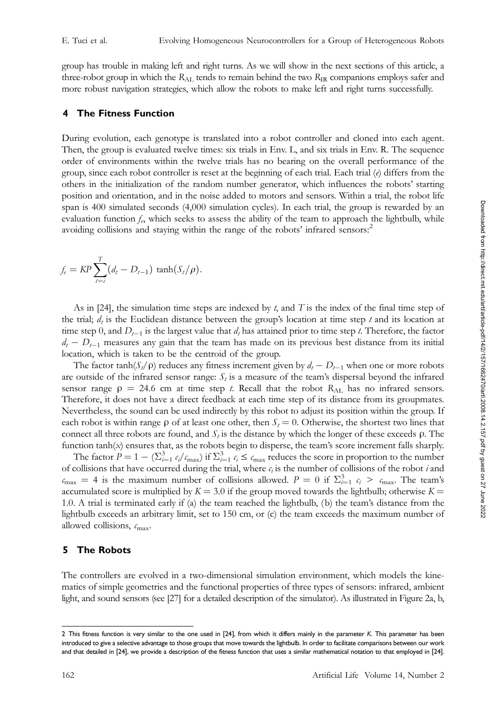group has trouble in making left and right turns. As we will show in the next sections of this article, a three-robot group in which the  $R_{AL}$  tends to remain behind the two  $R_{IR}$  companions employs safer and more robust navigation strategies, which allow the robots to make left and right turns successfully.

## 4 The Fitness Function

During evolution, each genotype is translated into a robot controller and cloned into each agent. Then, the group is evaluated twelve times: six trials in Env. L, and six trials in Env. R. The sequence order of environments within the twelve trials has no bearing on the overall performance of the group, since each robot controller is reset at the beginning of each trial. Each trial  $(e)$  differs from the others in the initialization of the random number generator, which influences the robots' starting position and orientation, and in the noise added to motors and sensors. Within a trial, the robot life span is 400 simulated seconds (4,000 simulation cycles). In each trial, the group is rewarded by an evaluation function  $f_e$ , which seeks to assess the ability of the team to approach the lightbulb, while avoiding collisions and staying within the range of the robots' infrared sensors:<sup>2</sup>

$$
f_e = KP \sum_{t=i}^{T} (d_t - D_{t-1}) \tanh(S_t/\rho).
$$

As in [24], the simulation time steps are indexed by  $t$ , and  $T$  is the index of the final time step of the trial;  $d_t$  is the Euclidean distance between the group's location at time step t and its location at time step 0, and  $D_{t-1}$  is the largest value that  $d_t$  has attained prior to time step t. Therefore, the factor  $d_t - D_{t-1}$  measures any gain that the team has made on its previous best distance from its initial location, which is taken to be the centroid of the group.

The factor  $tanh(S_t/\rho)$  reduces any fitness increment given by  $d_t - D_{t-1}$  when one or more robots are outside of the infrared sensor range:  $S_t$  is a measure of the team's dispersal beyond the infrared sensor range  $\rho = 24.6$  cm at time step t. Recall that the robot R<sub>AL</sub> has no infrared sensors. Therefore, it does not have a direct feedback at each time step of its distance from its groupmates. Nevertheless, the sound can be used indirectly by this robot to adjust its position within the group. If each robot is within range  $\rho$  of at least one other, then  $S_t = 0$ . Otherwise, the shortest two lines that connect all three robots are found, and  $S_t$  is the distance by which the longer of these exceeds  $\rho$ . The function  $tanh(x)$  ensures that, as the robots begin to disperse, the team's score increment falls sharply.

The factor  $P = 1 - (\sum_{i=1}^{3} c_i/\epsilon_{\text{max}})$  if  $\sum_{i=1}^{3} c_i \le \epsilon_{\text{max}}$  reduces the score in proportion to the number of collisions that have occurred during the trial, where  $c_i$  is the number of collisions of the robot  $i$  and  $c_{\text{max}} = 4$  is the maximum number of collisions allowed.  $P = 0$  if  $\sum_{i=1}^{3} c_i > c_{\text{max}}$ . The team's accumulated score is multiplied by  $K = 3.0$  if the group moved towards the lightbulb; otherwise  $K =$ 1.0. A trial is terminated early if (a) the team reached the lightbulb, ( b) the team's distance from the lightbulb exceeds an arbitrary limit, set to 150 cm, or (c) the team exceeds the maximum number of allowed collisions,  $c_{\text{max}}$ .

#### 5 The Robots

The controllers are evolved in a two-dimensional simulation environment, which models the kinematics of simple geometries and the functional properties of three types of sensors: infrared, ambient light, and sound sensors (see [27] for a detailed description of the simulator). As illustrated in Figure 2a, b,

<sup>2</sup> This fitness function is very similar to the one used in [24], from which it differs mainly in the parameter K. This parameter has been introduced to give a selective advantage to those groups that move towards the lightbulb. In order to facilitate comparisons between our work and that detailed in [24], we provide a description of the fitness function that uses a similar mathematical notation to that employed in [24].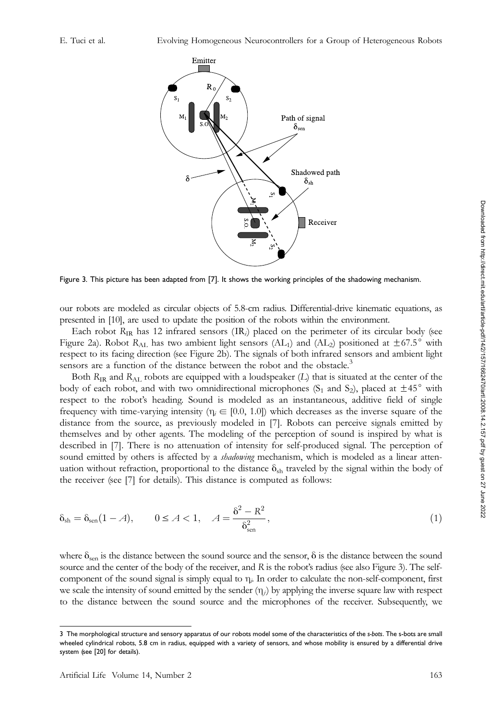

Figure 3. This picture has been adapted from [7]. It shows the working principles of the shadowing mechanism.

our robots are modeled as circular objects of 5.8-cm radius. Differential-drive kinematic equations, as presented in [10], are used to update the position of the robots within the environment.

Each robot  $R_{IR}$  has 12 infrared sensors (IR<sub>i</sub>) placed on the perimeter of its circular body (see Figure 2a). Robot R<sub>AL</sub> has two ambient light sensors (AL<sub>1</sub>) and (AL<sub>2</sub>) positioned at  $\pm$  67.5° with respect to its facing direction (see Figure 2b). The signals of both infrared sensors and ambient light sensors are a function of the distance between the robot and the obstacle.<sup>3</sup>

Both  $R_{IR}$  and  $R_{AL}$  robots are equipped with a loudspeaker  $(L)$  that is situated at the center of the body of each robot, and with two omnidirectional microphones (S<sub>1</sub> and S<sub>2</sub>), placed at  $\pm$ 45° with respect to the robot's heading. Sound is modeled as an instantaneous, additive field of single frequency with time-varying intensity  $(\eta_i \in [0.0, 1.0])$  which decreases as the inverse square of the distance from the source, as previously modeled in [7]. Robots can perceive signals emitted by themselves and by other agents. The modeling of the perception of sound is inspired by what is described in [7]. There is no attenuation of intensity for self-produced signal. The perception of sound emitted by others is affected by a *shadowing* mechanism, which is modeled as a linear attenuation without refraction, proportional to the distance  $\delta_{\rm sh}$  traveled by the signal within the body of the receiver (see [7] for details). This distance is computed as follows:

$$
\delta_{sh} = \delta_{sen}(1 - A), \qquad 0 \le A < 1, \quad A = \frac{\delta^2 - R^2}{\delta_{sen}^2},\tag{1}
$$

where  $\delta_{\text{sen}}$  is the distance between the sound source and the sensor,  $\delta$  is the distance between the sound source and the center of the body of the receiver, and R is the robot's radius (see also Figure 3). The selfcomponent of the sound signal is simply equal to  $\eta_i$ . In order to calculate the non-self-component, first we scale the intensity of sound emitted by the sender  $(\eta_i)$  by applying the inverse square law with respect to the distance between the sound source and the microphones of the receiver. Subsequently, we

<sup>3</sup> The morphological structure and sensory apparatus of our robots model some of the characteristics of the s-bots. The s-bots are small wheeled cylindrical robots, 5.8 cm in radius, equipped with a variety of sensors, and whose mobility is ensured by a differential drive system (see [20] for details).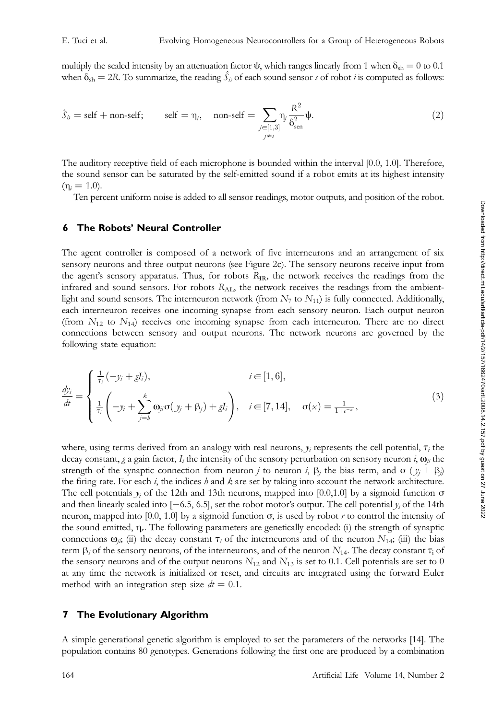multiply the scaled intensity by an attenuation factor  $\psi$ , which ranges linearly from 1 when  $\delta_{\rm sh} = 0$  to 0.1 when  $\hat{\delta}_{sh} = 2R$ . To summarize, the reading  $\hat{S}_{ik}$  of each sound sensor s of robot i is computed as follows:

$$
\hat{S}_{is} = \text{self} + \text{non-self}; \qquad \text{self} = \eta_i, \quad \text{non-self} = \sum_{\substack{j \in [1,3] \\ j \neq i}} \eta_j \frac{R^2}{\delta_{\text{sen}}^2} \psi. \tag{2}
$$

The auditory receptive field of each microphone is bounded within the interval [0.0, 1.0]. Therefore, the sound sensor can be saturated by the self-emitted sound if a robot emits at its highest intensity  $(\eta_i = 1.0).$ 

Ten percent uniform noise is added to all sensor readings, motor outputs, and position of the robot.

## 6 The Robots' Neural Controller

The agent controller is composed of a network of five interneurons and an arrangement of six sensory neurons and three output neurons (see Figure 2c). The sensory neurons receive input from the agent's sensory apparatus. Thus, for robots  $R_{IR}$ , the network receives the readings from the infrared and sound sensors. For robots RAL, the network receives the readings from the ambientlight and sound sensors. The interneuron network (from  $N_7$  to  $N_{11}$ ) is fully connected. Additionally, each interneuron receives one incoming synapse from each sensory neuron. Each output neuron (from  $N_{12}$  to  $N_{14}$ ) receives one incoming synapse from each interneuron. There are no direct connections between sensory and output neurons. The network neurons are governed by the following state equation:

$$
\frac{dy_i}{dt} = \begin{cases} \frac{1}{\tau_i}(-y_i + gI_i), & i \in [1, 6],\\ \frac{1}{\tau_i}(-y_i + \sum_{j=b}^{k} \omega_{ji}\sigma(y_j + \beta_j) + gI_i), & i \in [7, 14], \quad \sigma(x) = \frac{1}{1 + e^{-x}}, \end{cases}
$$
(3)

where, using terms derived from an analogy with real neurons,  $y_i$  represents the cell potential,  $\tau_i$  the decay constant, g a gain factor,  $I_i$  the intensity of the sensory perturbation on sensory neuron i,  $\omega_{ij}$  the strength of the synaptic connection from neuron j to neuron i,  $\beta_j$  the bias term, and  $\sigma (y_j + \beta_j)$ the firing rate. For each i, the indices  $h$  and  $k$  are set by taking into account the network architecture. The cell potentials  $y_i$  of the 12th and 13th neurons, mapped into [0.0,1.0] by a sigmoid function  $\sigma$ and then linearly scaled into  $[-6.5, 6.5]$ , set the robot motor's output. The cell potential  $y_i$  of the 14th neuron, mapped into  $[0.0, 1.0]$  by a sigmoid function  $\sigma$ , is used by robot r to control the intensity of the sound emitted,  $\eta_r$ . The following parameters are genetically encoded: (i) the strength of synaptic connections  $\omega_{ij}$ ; (ii) the decay constant  $\tau_i$  of the interneurons and of the neuron  $N_{14}$ ; (iii) the bias term  $\beta_i$  of the sensory neurons, of the interneurons, and of the neuron  $N_{14}$ . The decay constant  $\tau_i$  of the sensory neurons and of the output neurons  $N_{12}$  and  $N_{13}$  is set to 0.1. Cell potentials are set to 0 at any time the network is initialized or reset, and circuits are integrated using the forward Euler method with an integration step size  $dt = 0.1$ .

#### 7 The Evolutionary Algorithm

A simple generational genetic algorithm is employed to set the parameters of the networks [14]. The population contains 80 genotypes. Generations following the first one are produced by a combination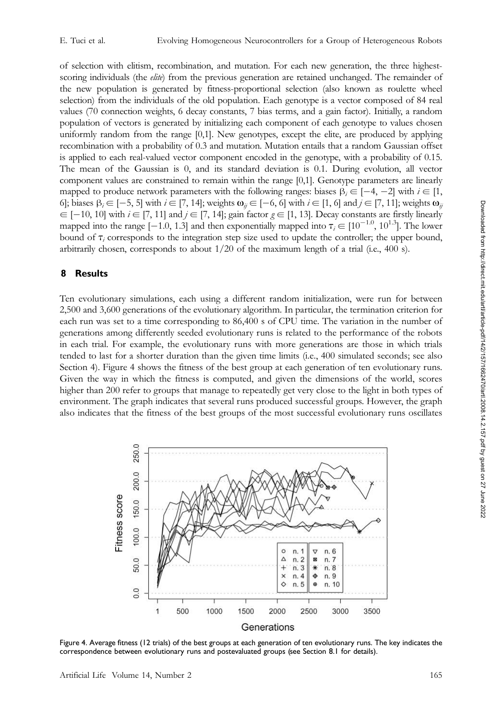of selection with elitism, recombination, and mutation. For each new generation, the three highestscoring individuals (the elite) from the previous generation are retained unchanged. The remainder of the new population is generated by fitness-proportional selection (also known as roulette wheel selection) from the individuals of the old population. Each genotype is a vector composed of 84 real values (70 connection weights, 6 decay constants, 7 bias terms, and a gain factor). Initially, a random population of vectors is generated by initializing each component of each genotype to values chosen uniformly random from the range [0,1]. New genotypes, except the elite, are produced by applying recombination with a probability of 0.3 and mutation. Mutation entails that a random Gaussian offset is applied to each real-valued vector component encoded in the genotype, with a probability of 0.15. The mean of the Gaussian is 0, and its standard deviation is 0.1. During evolution, all vector component values are constrained to remain within the range [0,1]. Genotype parameters are linearly mapped to produce network parameters with the following ranges: biases  $\beta_i \in [-4, -2]$  with  $i \in [1, 1]$ 6]; biases  $\beta_i \in [-5, 5]$  with  $i \in [7, 14]$ ; weights  $\omega_j \in [-6, 6]$  with  $i \in [1, 6]$  and  $j \in [7, 11]$ ; weights  $\omega_j$  $\epsilon \in [-10, 10]$  with  $i \in [7, 11]$  and  $j \in [7, 14]$ ; gain factor  $g \in [1, 13]$ . Decay constants are firstly linearly mapped into the range  $[-1.0, 1.3]$  and then exponentially mapped into  $\tau_i \in [10^{-1.0}, 10^{1.3}]$ . The lower bound of  $\tau_i$  corresponds to the integration step size used to update the controller; the upper bound, arbitrarily chosen, corresponds to about  $1/20$  of the maximum length of a trial (i.e.,  $400$  s).

#### 8 Results

Ten evolutionary simulations, each using a different random initialization, were run for between 2,500 and 3,600 generations of the evolutionary algorithm. In particular, the termination criterion for each run was set to a time corresponding to 86,400 s of CPU time. The variation in the number of generations among differently seeded evolutionary runs is related to the performance of the robots in each trial. For example, the evolutionary runs with more generations are those in which trials tended to last for a shorter duration than the given time limits (i.e., 400 simulated seconds; see also Section 4). Figure 4 shows the fitness of the best group at each generation of ten evolutionary runs. Given the way in which the fitness is computed, and given the dimensions of the world, scores higher than 200 refer to groups that manage to repeatedly get very close to the light in both types of environment. The graph indicates that several runs produced successful groups. However, the graph also indicates that the fitness of the best groups of the most successful evolutionary runs oscillates



Figure 4. Average fitness (12 trials) of the best groups at each generation of ten evolutionary runs. The key indicates the correspondence between evolutionary runs and postevaluated groups (see Section 8.1 for details).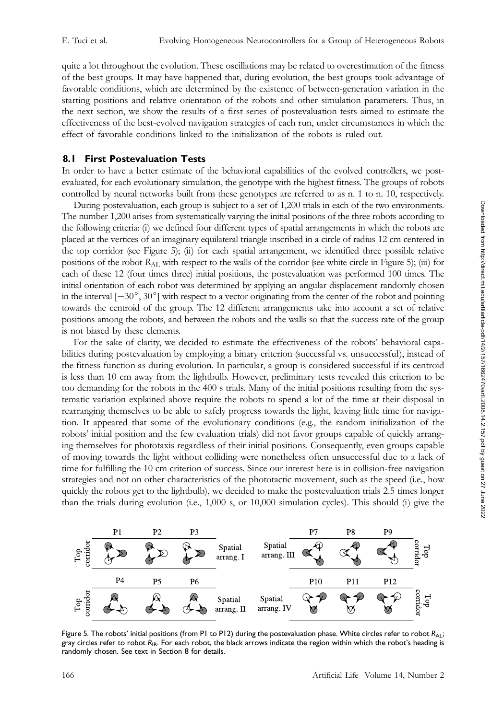quite a lot throughout the evolution. These oscillations may be related to overestimation of the fitness of the best groups. It may have happened that, during evolution, the best groups took advantage of favorable conditions, which are determined by the existence of between-generation variation in the starting positions and relative orientation of the robots and other simulation parameters. Thus, in the next section, we show the results of a first series of postevaluation tests aimed to estimate the effectiveness of the best-evolved navigation strategies of each run, under circumstances in which the effect of favorable conditions linked to the initialization of the robots is ruled out.

#### 8.1 First Postevaluation Tests

In order to have a better estimate of the behavioral capabilities of the evolved controllers, we postevaluated, for each evolutionary simulation, the genotype with the highest fitness. The groups of robots controlled by neural networks built from these genotypes are referred to as n. 1 to n. 10, respectively.

During postevaluation, each group is subject to a set of 1,200 trials in each of the two environments. The number 1,200 arises from systematically varying the initial positions of the three robots according to the following criteria: (i) we defined four different types of spatial arrangements in which the robots are placed at the vertices of an imaginary equilateral triangle inscribed in a circle of radius 12 cm centered in the top corridor (see Figure 5); (ii) for each spatial arrangement, we identified three possible relative positions of the robot  $R_{AL}$  with respect to the walls of the corridor (see white circle in Figure 5); (iii) for each of these 12 (four times three) initial positions, the postevaluation was performed 100 times. The initial orientation of each robot was determined by applying an angular displacement randomly chosen in the interval  $[-30^\circ, 30^\circ]$  with respect to a vector originating from the center of the robot and pointing towards the centroid of the group. The 12 different arrangements take into account a set of relative positions among the robots, and between the robots and the walls so that the success rate of the group is not biased by these elements.

For the sake of clarity, we decided to estimate the effectiveness of the robots' behavioral capabilities during postevaluation by employing a binary criterion (successful vs. unsuccessful), instead of the fitness function as during evolution. In particular, a group is considered successful if its centroid is less than 10 cm away from the lightbulb. However, preliminary tests revealed this criterion to be too demanding for the robots in the 400 s trials. Many of the initial positions resulting from the systematic variation explained above require the robots to spend a lot of the time at their disposal in rearranging themselves to be able to safely progress towards the light, leaving little time for navigation. It appeared that some of the evolutionary conditions (e.g., the random initialization of the robots' initial position and the few evaluation trials) did not favor groups capable of quickly arranging themselves for phototaxis regardless of their initial positions. Consequently, even groups capable of moving towards the light without colliding were nonetheless often unsuccessful due to a lack of time for fulfilling the 10 cm criterion of success. Since our interest here is in collision-free navigation strategies and not on other characteristics of the phototactic movement, such as the speed (i.e., how quickly the robots get to the lightbulb), we decided to make the postevaluation trials 2.5 times longer than the trials during evolution (i.e., 1,000 s, or 10,000 simulation cycles). This should (i) give the



Figure 5. The robots' initial positions (from P1 to P12) during the postevaluation phase. White circles refer to robot  $R_{AL}$ ; gray circles refer to robot  $R_{IR}$ . For each robot, the black arrows indicate the region within which the robot's heading is randomly chosen. See text in Section 8 for details.

Downloaded from http://direct.mit.edu/artl/article-pdf/14/2/157/1662470/arti.2008.14.2.157.pdf by guest on 27 June 2022 Downloaded from http://direct.mit.edu/artl/article-pdf/14/2/157/1662470/artl.2008.14.2.157.pdf by guest on 27 June 2022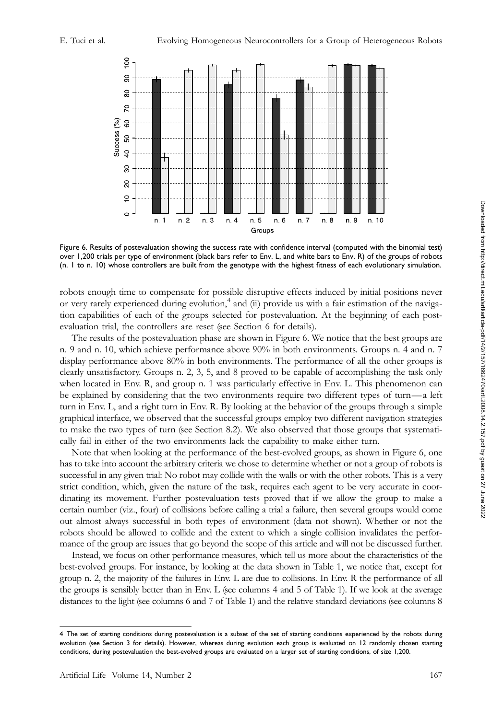

Figure 6. Results of postevaluation showing the success rate with confidence interval (computed with the binomial test) over 1,200 trials per type of environment (black bars refer to Env. L, and white bars to Env. R) of the groups of robots (n. 1 to n. 10) whose controllers are built from the genotype with the highest fitness of each evolutionary simulation.

robots enough time to compensate for possible disruptive effects induced by initial positions never or very rarely experienced during evolution,<sup>4</sup> and (ii) provide us with a fair estimation of the navigation capabilities of each of the groups selected for postevaluation. At the beginning of each postevaluation trial, the controllers are reset (see Section 6 for details).

The results of the postevaluation phase are shown in Figure 6. We notice that the best groups are n. 9 and n. 10, which achieve performance above 90% in both environments. Groups n. 4 and n. 7 display performance above 80% in both environments. The performance of all the other groups is clearly unsatisfactory. Groups n. 2, 3, 5, and 8 proved to be capable of accomplishing the task only when located in Env. R, and group n. 1 was particularly effective in Env. L. This phenomenon can be explained by considering that the two environments require two different types of turn— a left turn in Env. L, and a right turn in Env. R. By looking at the behavior of the groups through a simple graphical interface, we observed that the successful groups employ two different navigation strategies to make the two types of turn (see Section 8.2). We also observed that those groups that systematically fail in either of the two environments lack the capability to make either turn.

Note that when looking at the performance of the best-evolved groups, as shown in Figure 6, one has to take into account the arbitrary criteria we chose to determine whether or not a group of robots is successful in any given trial: No robot may collide with the walls or with the other robots. This is a very strict condition, which, given the nature of the task, requires each agent to be very accurate in coordinating its movement. Further postevaluation tests proved that if we allow the group to make a certain number (viz., four) of collisions before calling a trial a failure, then several groups would come out almost always successful in both types of environment (data not shown). Whether or not the robots should be allowed to collide and the extent to which a single collision invalidates the performance of the group are issues that go beyond the scope of this article and will not be discussed further.

Instead, we focus on other performance measures, which tell us more about the characteristics of the best-evolved groups. For instance, by looking at the data shown in Table 1, we notice that, except for group n. 2, the majority of the failures in Env. L are due to collisions. In Env. R the performance of all the groups is sensibly better than in Env. L (see columns 4 and 5 of Table 1). If we look at the average distances to the light (see columns 6 and 7 of Table 1) and the relative standard deviations (see columns 8

<sup>4</sup> The set of starting conditions during postevaluation is a subset of the set of starting conditions experienced by the robots during evolution (see Section 3 for details). However, whereas during evolution each group is evaluated on 12 randomly chosen starting conditions, during postevaluation the best-evolved groups are evaluated on a larger set of starting conditions, of size 1,200.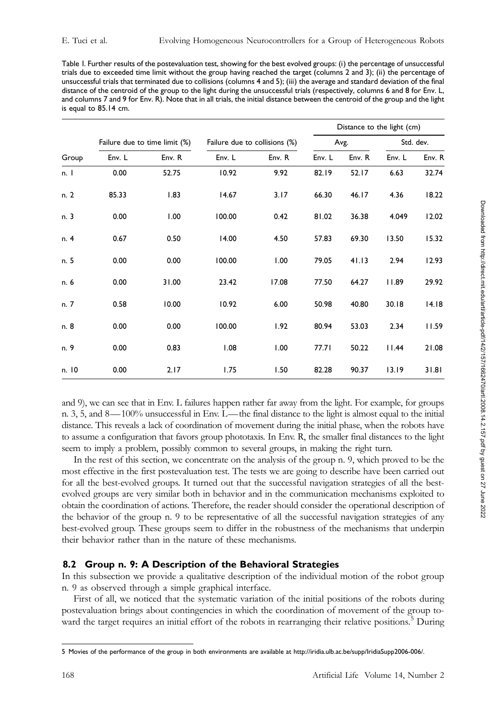| Table I. Further results of the postevaluation test, showing for the best evolved groups: (i) the percentage of unsuccessful   |
|--------------------------------------------------------------------------------------------------------------------------------|
| trials due to exceeded time limit without the group having reached the target (columns 2 and 3); (ii) the percentage of        |
| unsuccessful trials that terminated due to collisions (columns 4 and 5); (iii) the average and standard deviation of the final |
| distance of the centroid of the group to the light during the unsuccessful trials (respectively, columns 6 and 8 for Env. L,   |
| and columns 7 and 9 for Env. R). Note that in all trials, the initial distance between the centroid of the group and the light |
| is equal to $85.14$ cm.                                                                                                        |

| Group |                               |        |                               |        | Distance to the light (cm) |        |           |        |
|-------|-------------------------------|--------|-------------------------------|--------|----------------------------|--------|-----------|--------|
|       | Failure due to time limit (%) |        | Failure due to collisions (%) |        | Avg.                       |        | Std. dev. |        |
|       | Env. L                        | Env. R | Env. L                        | Env. R | Env. L                     | Env. R | Env. L    | Env. R |
| n. 1  | 0.00                          | 52.75  | 10.92                         | 9.92   | 82.19                      | 52.17  | 6.63      | 32.74  |
| n. 2  | 85.33                         | 1.83   | 14.67                         | 3.17   | 66.30                      | 46.17  | 4.36      | 18.22  |
| n. 3  | 0.00                          | 1.00   | 100.00                        | 0.42   | 81.02                      | 36.38  | 4.049     | 12.02  |
| n.4   | 0.67                          | 0.50   | 14.00                         | 4.50   | 57.83                      | 69.30  | 13.50     | 15.32  |
| n. 5  | 0.00                          | 0.00   | 100.00                        | 1.00   | 79.05                      | 41.13  | 2.94      | 12.93  |
| n. 6  | 0.00                          | 31.00  | 23.42                         | 17.08  | 77.50                      | 64.27  | 11.89     | 29.92  |
| n. 7  | 0.58                          | 10.00  | 10.92                         | 6.00   | 50.98                      | 40.80  | 30.18     | 14.18  |
| n. 8  | 0.00                          | 0.00   | 100.00                        | 1.92   | 80.94                      | 53.03  | 2.34      | 11.59  |
| n. 9  | 0.00                          | 0.83   | 1.08                          | 1.00   | 77.71                      | 50.22  | 11.44     | 21.08  |
| n. 10 | 0.00                          | 2.17   | <b>1.75</b>                   | 1.50   | 82.28                      | 90.37  | 13.19     | 31.81  |

and 9), we can see that in Env. L failures happen rather far away from the light. For example, for groups n. 3, 5, and 8—100% unsuccessful in Env. L—the final distance to the light is almost equal to the initial distance. This reveals a lack of coordination of movement during the initial phase, when the robots have to assume a configuration that favors group phototaxis. In Env. R, the smaller final distances to the light seem to imply a problem, possibly common to several groups, in making the right turn.

In the rest of this section, we concentrate on the analysis of the group n. 9, which proved to be the most effective in the first postevaluation test. The tests we are going to describe have been carried out for all the best-evolved groups. It turned out that the successful navigation strategies of all the bestevolved groups are very similar both in behavior and in the communication mechanisms exploited to obtain the coordination of actions. Therefore, the reader should consider the operational description of the behavior of the group n. 9 to be representative of all the successful navigation strategies of any best-evolved group. These groups seem to differ in the robustness of the mechanisms that underpin their behavior rather than in the nature of these mechanisms.

# 8.2 Group n. 9: A Description of the Behavioral Strategies

In this subsection we provide a qualitative description of the individual motion of the robot group n. 9 as observed through a simple graphical interface.

First of all, we noticed that the systematic variation of the initial positions of the robots during postevaluation brings about contingencies in which the coordination of movement of the group toward the target requires an initial effort of the robots in rearranging their relative positions.<sup>5</sup> During

<sup>5</sup> Movies of the performance of the group in both environments are available at http://iridia.ulb.ac.be/supp/IridiaSupp2006-006/.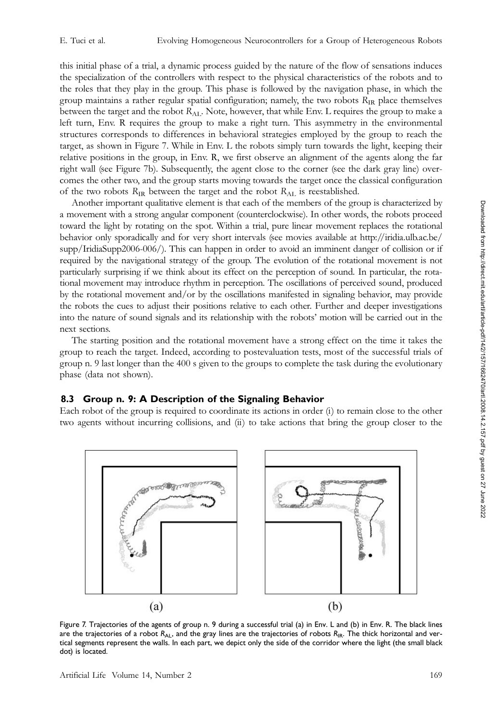this initial phase of a trial, a dynamic process guided by the nature of the flow of sensations induces the specialization of the controllers with respect to the physical characteristics of the robots and to the roles that they play in the group. This phase is followed by the navigation phase, in which the group maintains a rather regular spatial configuration; namely, the two robots  $R_{IR}$  place themselves between the target and the robot R<sub>AL</sub>. Note, however, that while Env. L requires the group to make a left turn, Env. R requires the group to make a right turn. This asymmetry in the environmental structures corresponds to differences in behavioral strategies employed by the group to reach the target, as shown in Figure 7. While in Env. L the robots simply turn towards the light, keeping their relative positions in the group, in Env. R, we first observe an alignment of the agents along the far right wall (see Figure 7b). Subsequently, the agent close to the corner (see the dark gray line) overcomes the other two, and the group starts moving towards the target once the classical configuration of the two robots  $R_{IR}$  between the target and the robot  $R_{AL}$  is reestablished.

Another important qualitative element is that each of the members of the group is characterized by a movement with a strong angular component (counterclockwise). In other words, the robots proceed toward the light by rotating on the spot. Within a trial, pure linear movement replaces the rotational behavior only sporadically and for very short intervals (see movies available at http://iridia.ulb.ac.be/ supp/IridiaSupp2006-006/). This can happen in order to avoid an imminent danger of collision or if required by the navigational strategy of the group. The evolution of the rotational movement is not particularly surprising if we think about its effect on the perception of sound. In particular, the rotational movement may introduce rhythm in perception. The oscillations of perceived sound, produced by the rotational movement and/or by the oscillations manifested in signaling behavior, may provide the robots the cues to adjust their positions relative to each other. Further and deeper investigations into the nature of sound signals and its relationship with the robots' motion will be carried out in the next sections.

The starting position and the rotational movement have a strong effect on the time it takes the group to reach the target. Indeed, according to postevaluation tests, most of the successful trials of group n. 9 last longer than the 400 s given to the groups to complete the task during the evolutionary phase (data not shown).

# 8.3 Group n. 9: A Description of the Signaling Behavior

Each robot of the group is required to coordinate its actions in order (i) to remain close to the other two agents without incurring collisions, and (ii) to take actions that bring the group closer to the



Figure 7. Trajectories of the agents of group n. 9 during a successful trial (a) in Env. L and (b) in Env. R. The black lines are the trajectories of a robot  $R_{AL}$ , and the gray lines are the trajectories of robots  $R_{IR}$ . The thick horizontal and vertical segments represent the walls. In each part, we depict only the side of the corridor where the light (the small black dot) is located.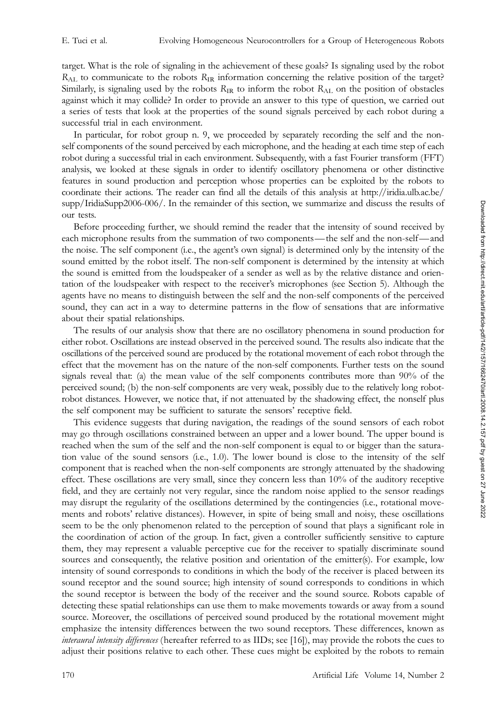target. What is the role of signaling in the achievement of these goals? Is signaling used by the robot  $R_{AL}$  to communicate to the robots  $R_{IR}$  information concerning the relative position of the target? Similarly, is signaling used by the robots  $R_{IR}$  to inform the robot  $R_{AL}$  on the position of obstacles against which it may collide? In order to provide an answer to this type of question, we carried out a series of tests that look at the properties of the sound signals perceived by each robot during a successful trial in each environment.

In particular, for robot group n. 9, we proceeded by separately recording the self and the nonself components of the sound perceived by each microphone, and the heading at each time step of each robot during a successful trial in each environment. Subsequently, with a fast Fourier transform (FFT) analysis, we looked at these signals in order to identify oscillatory phenomena or other distinctive features in sound production and perception whose properties can be exploited by the robots to coordinate their actions. The reader can find all the details of this analysis at http://iridia.ulb.ac.be/ supp/IridiaSupp2006-006/. In the remainder of this section, we summarize and discuss the results of our tests.

Before proceeding further, we should remind the reader that the intensity of sound received by each microphone results from the summation of two components—the self and the non-self— and the noise. The self component (i.e., the agent's own signal) is determined only by the intensity of the sound emitted by the robot itself. The non-self component is determined by the intensity at which the sound is emitted from the loudspeaker of a sender as well as by the relative distance and orientation of the loudspeaker with respect to the receiver's microphones (see Section 5). Although the agents have no means to distinguish between the self and the non-self components of the perceived sound, they can act in a way to determine patterns in the flow of sensations that are informative about their spatial relationships.

The results of our analysis show that there are no oscillatory phenomena in sound production for either robot. Oscillations are instead observed in the perceived sound. The results also indicate that the oscillations of the perceived sound are produced by the rotational movement of each robot through the effect that the movement has on the nature of the non-self components. Further tests on the sound signals reveal that: (a) the mean value of the self components contributes more than 90% of the perceived sound; (b) the non-self components are very weak, possibly due to the relatively long robotrobot distances. However, we notice that, if not attenuated by the shadowing effect, the nonself plus the self component may be sufficient to saturate the sensors' receptive field.

This evidence suggests that during navigation, the readings of the sound sensors of each robot may go through oscillations constrained between an upper and a lower bound. The upper bound is reached when the sum of the self and the non-self component is equal to or bigger than the saturation value of the sound sensors (i.e., 1.0). The lower bound is close to the intensity of the self component that is reached when the non-self components are strongly attenuated by the shadowing effect. These oscillations are very small, since they concern less than 10% of the auditory receptive field, and they are certainly not very regular, since the random noise applied to the sensor readings may disrupt the regularity of the oscillations determined by the contingencies (i.e., rotational movements and robots' relative distances). However, in spite of being small and noisy, these oscillations seem to be the only phenomenon related to the perception of sound that plays a significant role in the coordination of action of the group. In fact, given a controller sufficiently sensitive to capture them, they may represent a valuable perceptive cue for the receiver to spatially discriminate sound sources and consequently, the relative position and orientation of the emitter(s). For example, low intensity of sound corresponds to conditions in which the body of the receiver is placed between its sound receptor and the sound source; high intensity of sound corresponds to conditions in which the sound receptor is between the body of the receiver and the sound source. Robots capable of detecting these spatial relationships can use them to make movements towards or away from a sound source. Moreover, the oscillations of perceived sound produced by the rotational movement might emphasize the intensity differences between the two sound receptors. These differences, known as interaural intensity differences (hereafter referred to as IIDs; see [16]), may provide the robots the cues to adjust their positions relative to each other. These cues might be exploited by the robots to remain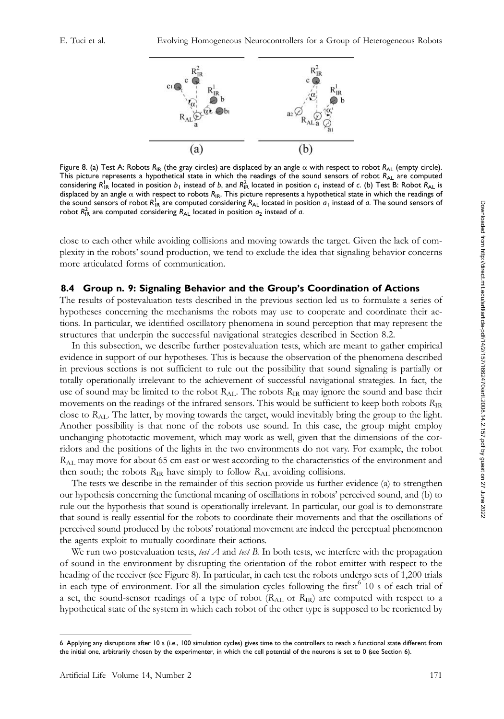

Figure 8. (a) Test A: Robots R<sub>IR</sub> (the gray circles) are displaced by an angle  $\alpha$  with respect to robot R<sub>AL</sub> (empty circle). This picture represents a hypothetical state in which the readings of the sound sensors of robot R<sub>AL</sub> are computed considering  $R_{IR}^1$  located in position  $b_1$  instead of b, and  $R_{IR}^2$  located in position  $c_1$  instead of c. (b) Test B: Robot  $R_{AL}$  is displaced by an angle  $\alpha$  with respect to robots  $R_{IR}$ . This picture represents a hypothetical state in which the readings of the sound sensors of robot  $R^1_{IR}$  are computed considering  $R_{AL}$  located in position  $a_1$  instead of a. The sound sensors of robot  $R_{IR}^2$  are computed considering  $R_{AL}$  located in position  $a_2$  instead of a.

close to each other while avoiding collisions and moving towards the target. Given the lack of complexity in the robots' sound production, we tend to exclude the idea that signaling behavior concerns more articulated forms of communication.

#### 8.4 Group n. 9: Signaling Behavior and the Group's Coordination of Actions

The results of postevaluation tests described in the previous section led us to formulate a series of hypotheses concerning the mechanisms the robots may use to cooperate and coordinate their actions. In particular, we identified oscillatory phenomena in sound perception that may represent the structures that underpin the successful navigational strategies described in Section 8.2.

In this subsection, we describe further postevaluation tests, which are meant to gather empirical evidence in support of our hypotheses. This is because the observation of the phenomena described in previous sections is not sufficient to rule out the possibility that sound signaling is partially or totally operationally irrelevant to the achievement of successful navigational strategies. In fact, the use of sound may be limited to the robot  $R_{AL}$ . The robots  $R_{IR}$  may ignore the sound and base their movements on the readings of the infrared sensors. This would be sufficient to keep both robots  $R_{IR}$ close to  $R_{\text{AL}}$ . The latter, by moving towards the target, would inevitably bring the group to the light. Another possibility is that none of the robots use sound. In this case, the group might employ unchanging phototactic movement, which may work as well, given that the dimensions of the corridors and the positions of the lights in the two environments do not vary. For example, the robot  $R_{AL}$  may move for about 65 cm east or west according to the characteristics of the environment and then south; the robots  $R_{IR}$  have simply to follow  $R_{AL}$  avoiding collisions.

The tests we describe in the remainder of this section provide us further evidence (a) to strengthen our hypothesis concerning the functional meaning of oscillations in robots' perceived sound, and (b) to rule out the hypothesis that sound is operationally irrelevant. In particular, our goal is to demonstrate that sound is really essential for the robots to coordinate their movements and that the oscillations of perceived sound produced by the robots' rotational movement are indeed the perceptual phenomenon the agents exploit to mutually coordinate their actions.

We run two postevaluation tests, test  $A$  and test B. In both tests, we interfere with the propagation of sound in the environment by disrupting the orientation of the robot emitter with respect to the heading of the receiver (see Figure 8). In particular, in each test the robots undergo sets of 1,200 trials in each type of environment. For all the simulation cycles following the first<sup>6</sup> 10 s of each trial of a set, the sound-sensor readings of a type of robot  $(R_{AL}$  or  $R_{IR})$  are computed with respect to a hypothetical state of the system in which each robot of the other type is supposed to be reoriented by

<sup>6</sup> Applying any disruptions after 10 s (i.e., 100 simulation cycles) gives time to the controllers to reach a functional state different from the initial one, arbitrarily chosen by the experimenter, in which the cell potential of the neurons is set to 0 (see Section 6).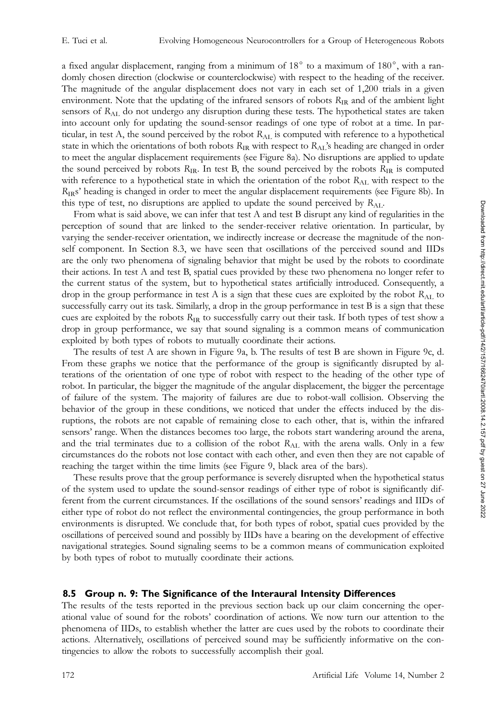a fixed angular displacement, ranging from a minimum of  $18^{\circ}$  to a maximum of  $180^{\circ}$ , with a randomly chosen direction (clockwise or counterclockwise) with respect to the heading of the receiver. The magnitude of the angular displacement does not vary in each set of 1,200 trials in a given environment. Note that the updating of the infrared sensors of robots  $R_{IR}$  and of the ambient light sensors of R<sub>AL</sub> do not undergo any disruption during these tests. The hypothetical states are taken into account only for updating the sound-sensor readings of one type of robot at a time. In particular, in test A, the sound perceived by the robot RAL is computed with reference to a hypothetical state in which the orientations of both robots  $R_{IR}$  with respect to  $R_{AL}$ 's heading are changed in order to meet the angular displacement requirements (see Figure 8a). No disruptions are applied to update the sound perceived by robots  $R_{IR}$ . In test B, the sound perceived by the robots  $R_{IR}$  is computed with reference to a hypothetical state in which the orientation of the robot R<sub>AL</sub> with respect to the RIRs' heading is changed in order to meet the angular displacement requirements (see Figure 8b). In this type of test, no disruptions are applied to update the sound perceived by  $R_{\text{AL}}$ .

From what is said above, we can infer that test A and test B disrupt any kind of regularities in the perception of sound that are linked to the sender-receiver relative orientation. In particular, by varying the sender-receiver orientation, we indirectly increase or decrease the magnitude of the nonself component. In Section 8.3, we have seen that oscillations of the perceived sound and IIDs are the only two phenomena of signaling behavior that might be used by the robots to coordinate their actions. In test A and test B, spatial cues provided by these two phenomena no longer refer to the current status of the system, but to hypothetical states artificially introduced. Consequently, a drop in the group performance in test A is a sign that these cues are exploited by the robot  $R_{AL}$  to successfully carry out its task. Similarly, a drop in the group performance in test B is a sign that these cues are exploited by the robots  $R_{IR}$  to successfully carry out their task. If both types of test show a drop in group performance, we say that sound signaling is a common means of communication exploited by both types of robots to mutually coordinate their actions.

The results of test A are shown in Figure 9a, b. The results of test B are shown in Figure 9c, d. From these graphs we notice that the performance of the group is significantly disrupted by alterations of the orientation of one type of robot with respect to the heading of the other type of robot. In particular, the bigger the magnitude of the angular displacement, the bigger the percentage of failure of the system. The majority of failures are due to robot-wall collision. Observing the behavior of the group in these conditions, we noticed that under the effects induced by the disruptions, the robots are not capable of remaining close to each other, that is, within the infrared sensors' range. When the distances becomes too large, the robots start wandering around the arena, and the trial terminates due to a collision of the robot  $R_{AL}$  with the arena walls. Only in a few circumstances do the robots not lose contact with each other, and even then they are not capable of reaching the target within the time limits (see Figure 9, black area of the bars).

These results prove that the group performance is severely disrupted when the hypothetical status of the system used to update the sound-sensor readings of either type of robot is significantly different from the current circumstances. If the oscillations of the sound sensors' readings and IIDs of either type of robot do not reflect the environmental contingencies, the group performance in both environments is disrupted. We conclude that, for both types of robot, spatial cues provided by the oscillations of perceived sound and possibly by IIDs have a bearing on the development of effective navigational strategies. Sound signaling seems to be a common means of communication exploited by both types of robot to mutually coordinate their actions.

# 8.5 Group n. 9: The Significance of the Interaural Intensity Differences

The results of the tests reported in the previous section back up our claim concerning the operational value of sound for the robots' coordination of actions. We now turn our attention to the phenomena of IIDs, to establish whether the latter are cues used by the robots to coordinate their actions. Alternatively, oscillations of perceived sound may be sufficiently informative on the contingencies to allow the robots to successfully accomplish their goal.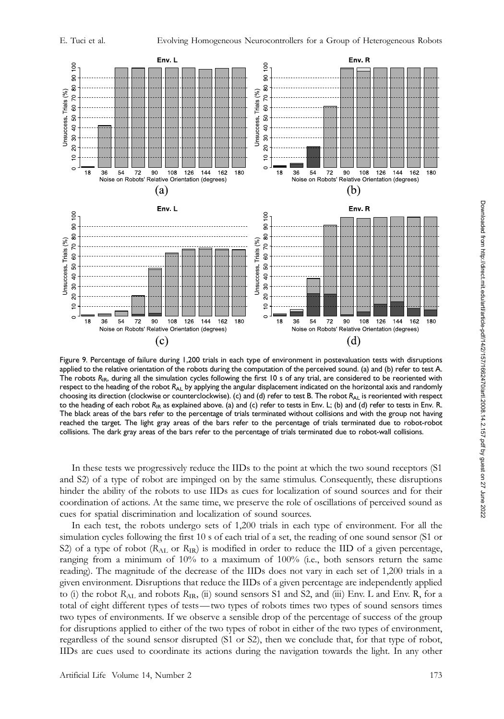

Figure 9. Percentage of failure during 1,200 trials in each type of environment in postevaluation tests with disruptions applied to the relative orientation of the robots during the computation of the perceived sound. (a) and (b) refer to test A. The robots  $R_{IR}$ , during all the simulation cycles following the first 10 s of any trial, are considered to be reoriented with respect to the heading of the robot  $R_{AL}$  by applying the angular displacement indicated on the horizontal axis and randomly choosing its direction (clockwise or counterclockwise). (c) and (d) refer to test B. The robot R<sub>AL</sub> is reoriented with respect to the heading of each robot  $R_{IR}$  as explained above. (a) and (c) refer to tests in Env. L; (b) and (d) refer to tests in Env. R. The black areas of the bars refer to the percentage of trials terminated without collisions and with the group not having reached the target. The light gray areas of the bars refer to the percentage of trials terminated due to robot-robot collisions. The dark gray areas of the bars refer to the percentage of trials terminated due to robot-wall collisions.

In these tests we progressively reduce the IIDs to the point at which the two sound receptors (S1 and S2) of a type of robot are impinged on by the same stimulus. Consequently, these disruptions hinder the ability of the robots to use IIDs as cues for localization of sound sources and for their coordination of actions. At the same time, we preserve the role of oscillations of perceived sound as cues for spatial discrimination and localization of sound sources.

In each test, the robots undergo sets of 1,200 trials in each type of environment. For all the simulation cycles following the first 10 s of each trial of a set, the reading of one sound sensor (S1 or S2) of a type of robot  $(R_{AL}$  or  $R_{IR}$ ) is modified in order to reduce the IID of a given percentage, ranging from a minimum of  $10\%$  to a maximum of  $100\%$  (i.e., both sensors return the same reading). The magnitude of the decrease of the IIDs does not vary in each set of 1,200 trials in a given environment. Disruptions that reduce the IIDs of a given percentage are independently applied to (i) the robot  $R_{AL}$  and robots  $R_{IR}$ , (ii) sound sensors S1 and S2, and (iii) Env. L and Env. R, for a total of eight different types of tests—two types of robots times two types of sound sensors times two types of environments. If we observe a sensible drop of the percentage of success of the group for disruptions applied to either of the two types of robot in either of the two types of environment, regardless of the sound sensor disrupted (S1 or S2), then we conclude that, for that type of robot, IIDs are cues used to coordinate its actions during the navigation towards the light. In any other

Downloaded from http://direct.mit.edu/artl/article-pdf/14/2/157/1662470/artl.2008.14.2.157.pdf by guest on 27 June 2022

Downloaded from http://direct.mit.edu/art/larticle-pdf/14/2/157/1662470/arti.2008.14.2.157.pdf by guest on 27 June 2022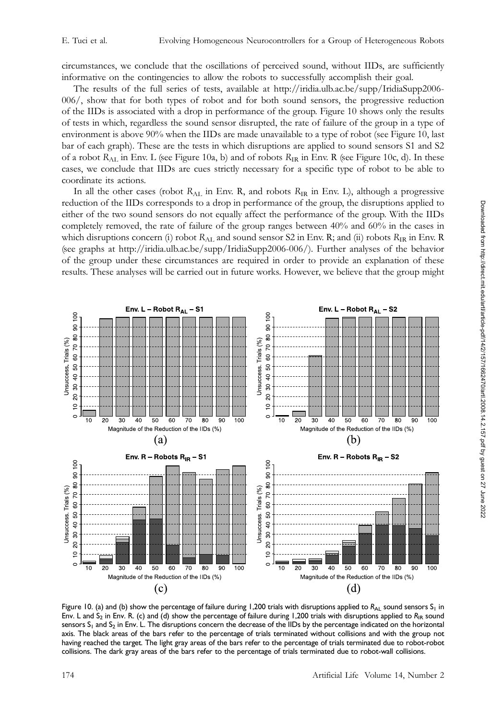circumstances, we conclude that the oscillations of perceived sound, without IIDs, are sufficiently informative on the contingencies to allow the robots to successfully accomplish their goal.

The results of the full series of tests, available at http://iridia.ulb.ac.be/supp/IridiaSupp2006- 006/, show that for both types of robot and for both sound sensors, the progressive reduction of the IIDs is associated with a drop in performance of the group. Figure 10 shows only the results of tests in which, regardless the sound sensor disrupted, the rate of failure of the group in a type of environment is above 90% when the IIDs are made unavailable to a type of robot (see Figure 10, last bar of each graph). These are the tests in which disruptions are applied to sound sensors S1 and S2 of a robot  $R_{AL}$  in Env. L (see Figure 10a, b) and of robots  $R_{IR}$  in Env. R (see Figure 10c, d). In these cases, we conclude that IIDs are cues strictly necessary for a specific type of robot to be able to coordinate its actions.

In all the other cases (robot  $R_{AL}$  in Env. R, and robots  $R_{IR}$  in Env. L), although a progressive reduction of the IIDs corresponds to a drop in performance of the group, the disruptions applied to either of the two sound sensors do not equally affect the performance of the group. With the IIDs completely removed, the rate of failure of the group ranges between 40% and 60% in the cases in which disruptions concern (i) robot  $R_{AL}$  and sound sensor S2 in Env. R; and (ii) robots  $R_{IR}$  in Env. R (see graphs at http://iridia.ulb.ac.be/supp/IridiaSupp2006-006/). Further analyses of the behavior of the group under these circumstances are required in order to provide an explanation of these results. These analyses will be carried out in future works. However, we believe that the group might



Figure 10. (a) and (b) show the percentage of failure during 1,200 trials with disruptions applied to  $R_{AL}$  sound sensors S<sub>1</sub> in Env. L and S<sub>2</sub> in Env. R. (c) and (d) show the percentage of failure during 1,200 trials with disruptions applied to R<sub>IR</sub> sound sensors  $S_1$  and  $S_2$  in Env. L. The disruptions concern the decrease of the IIDs by the percentage indicated on the horizontal axis. The black areas of the bars refer to the percentage of trials terminated without collisions and with the group not having reached the target. The light gray areas of the bars refer to the percentage of trials terminated due to robot-robot collisions. The dark gray areas of the bars refer to the percentage of trials terminated due to robot-wall collisions.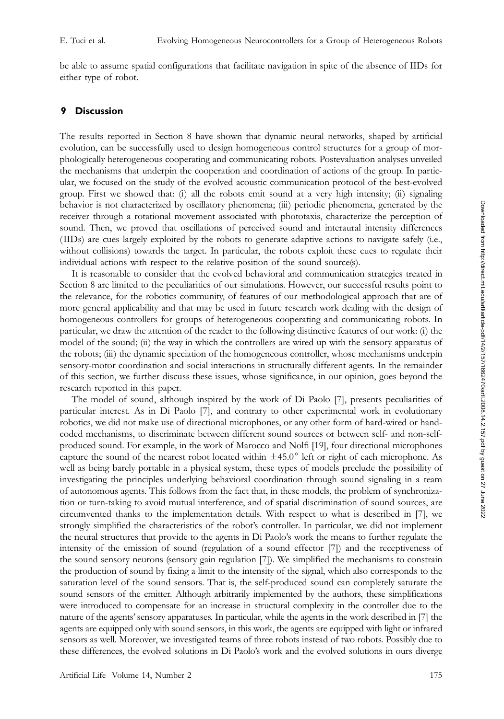be able to assume spatial configurations that facilitate navigation in spite of the absence of IIDs for either type of robot.

#### 9 Discussion

The results reported in Section 8 have shown that dynamic neural networks, shaped by artificial evolution, can be successfully used to design homogeneous control structures for a group of morphologically heterogeneous cooperating and communicating robots. Postevaluation analyses unveiled the mechanisms that underpin the cooperation and coordination of actions of the group. In particular, we focused on the study of the evolved acoustic communication protocol of the best-evolved group. First we showed that: (i) all the robots emit sound at a very high intensity; (ii) signaling behavior is not characterized by oscillatory phenomena; (iii) periodic phenomena, generated by the receiver through a rotational movement associated with phototaxis, characterize the perception of sound. Then, we proved that oscillations of perceived sound and interaural intensity differences (IIDs) are cues largely exploited by the robots to generate adaptive actions to navigate safely (i.e., without collisions) towards the target. In particular, the robots exploit these cues to regulate their individual actions with respect to the relative position of the sound source(s).

It is reasonable to consider that the evolved behavioral and communication strategies treated in Section 8 are limited to the peculiarities of our simulations. However, our successful results point to the relevance, for the robotics community, of features of our methodological approach that are of more general applicability and that may be used in future research work dealing with the design of homogeneous controllers for groups of heterogeneous cooperating and communicating robots. In particular, we draw the attention of the reader to the following distinctive features of our work: (i) the model of the sound; (ii) the way in which the controllers are wired up with the sensory apparatus of the robots; (iii) the dynamic speciation of the homogeneous controller, whose mechanisms underpin sensory-motor coordination and social interactions in structurally different agents. In the remainder of this section, we further discuss these issues, whose significance, in our opinion, goes beyond the research reported in this paper.

The model of sound, although inspired by the work of Di Paolo [7], presents peculiarities of particular interest. As in Di Paolo [7], and contrary to other experimental work in evolutionary robotics, we did not make use of directional microphones, or any other form of hard-wired or handcoded mechanisms, to discriminate between different sound sources or between self- and non-selfproduced sound. For example, in the work of Marocco and Nolfi [19], four directional microphones capture the sound of the nearest robot located within  $\pm 45.0^{\circ}$  left or right of each microphone. As well as being barely portable in a physical system, these types of models preclude the possibility of investigating the principles underlying behavioral coordination through sound signaling in a team of autonomous agents. This follows from the fact that, in these models, the problem of synchronization or turn-taking to avoid mutual interference, and of spatial discrimination of sound sources, are circumvented thanks to the implementation details. With respect to what is described in [7], we strongly simplified the characteristics of the robot's controller. In particular, we did not implement the neural structures that provide to the agents in Di Paolo's work the means to further regulate the intensity of the emission of sound (regulation of a sound effector [7]) and the receptiveness of the sound sensory neurons (sensory gain regulation [7]). We simplified the mechanisms to constrain the production of sound by fixing a limit to the intensity of the signal, which also corresponds to the saturation level of the sound sensors. That is, the self-produced sound can completely saturate the sound sensors of the emitter. Although arbitrarily implemented by the authors, these simplifications were introduced to compensate for an increase in structural complexity in the controller due to the nature of the agents' sensory apparatuses. In particular, while the agents in the work described in [7] the agents are equipped only with sound sensors, in this work, the agents are equipped with light or infrared sensors as well. Moreover, we investigated teams of three robots instead of two robots. Possibly due to these differences, the evolved solutions in Di Paolo's work and the evolved solutions in ours diverge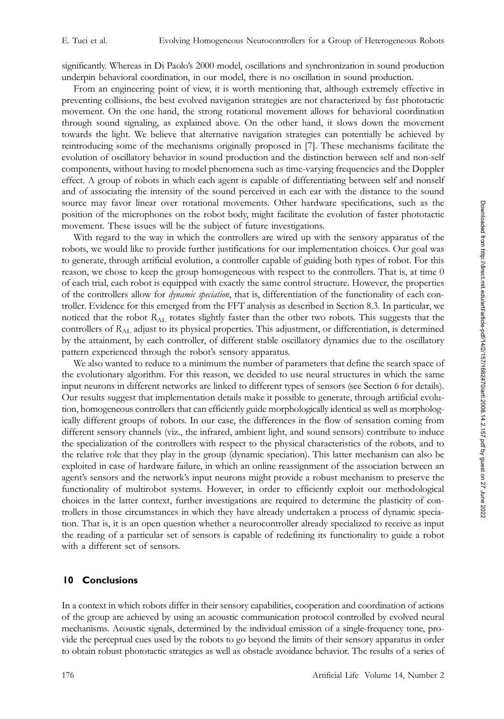significantly. Whereas in Di Paolo's 2000 model, oscillations and synchronization in sound production underpin behavioral coordination, in our model, there is no oscillation in sound production.

From an engineering point of view, it is worth mentioning that, although extremely effective in preventing collisions, the best evolved navigation strategies are not characterized by fast phototactic movement. On the one hand, the strong rotational movement allows for behavioral coordination through sound signaling, as explained above. On the other hand, it slows down the movement towards the light. We believe that alternative navigation strategies can potentially be achieved by reintroducing some of the mechanisms originally proposed in [7]. These mechanisms facilitate the evolution of oscillatory behavior in sound production and the distinction between self and non-self components, without having to model phenomena such as time-varying frequencies and the Doppler effect. A group of robots in which each agent is capable of differentiating between self and nonself and of associating the intensity of the sound perceived in each ear with the distance to the sound source may favor linear over rotational movements. Other hardware specifications, such as the position of the microphones on the robot body, might facilitate the evolution of faster phototactic movement. These issues will be the subject of future investigations.

With regard to the way in which the controllers are wired up with the sensory apparatus of the robots, we would like to provide further justifications for our implementation choices. Our goal was to generate, through artificial evolution, a controller capable of guiding both types of robot. For this reason, we chose to keep the group homogeneous with respect to the controllers. That is, at time 0 of each trial, each robot is equipped with exactly the same control structure. However, the properties of the controllers allow for *dynamic speciation*, that is, differentiation of the functionality of each controller. Evidence for this emerged from the FFT analysis as described in Section 8.3. In particular, we noticed that the robot R<sub>AL</sub> rotates slightly faster than the other two robots. This suggests that the controllers of R<sub>AL</sub> adjust to its physical properties. This adjustment, or differentiation, is determined by the attainment, by each controller, of different stable oscillatory dynamics due to the oscillatory pattern experienced through the robot's sensory apparatus.

We also wanted to reduce to a minimum the number of parameters that define the search space of the evolutionary algorithm. For this reason, we decided to use neural structures in which the same input neurons in different networks are linked to different types of sensors (see Section 6 for details). Our results suggest that implementation details make it possible to generate, through artificial evolution, homogeneous controllers that can efficiently guide morphologically identical as well as morphologically different groups of robots. In our case, the differences in the flow of sensation coming from different sensory channels (viz., the infrared, ambient light, and sound sensors) contribute to induce the specialization of the controllers with respect to the physical characteristics of the robots, and to the relative role that they play in the group (dynamic speciation). This latter mechanism can also be exploited in case of hardware failure, in which an online reassignment of the association between an agent's sensors and the network's input neurons might provide a robust mechanism to preserve the functionality of multirobot systems. However, in order to efficiently exploit our methodological choices in the latter context, further investigations are required to determine the plasticity of controllers in those circumstances in which they have already undertaken a process of dynamic speciation. That is, it is an open question whether a neurocontroller already specialized to receive as input the reading of a particular set of sensors is capable of redefining its functionality to guide a robot with a different set of sensors.

# 10 Conclusions

In a context in which robots differ in their sensory capabilities, cooperation and coordination of actions of the group are achieved by using an acoustic communication protocol controlled by evolved neural mechanisms. Acoustic signals, determined by the individual emission of a single-frequency tone, provide the perceptual cues used by the robots to go beyond the limits of their sensory apparatus in order to obtain robust phototactic strategies as well as obstacle avoidance behavior. The results of a series of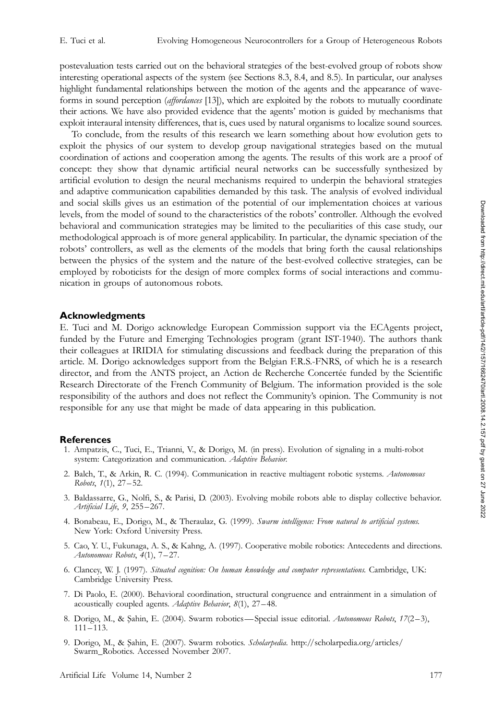postevaluation tests carried out on the behavioral strategies of the best-evolved group of robots show interesting operational aspects of the system (see Sections 8.3, 8.4, and 8.5). In particular, our analyses highlight fundamental relationships between the motion of the agents and the appearance of waveforms in sound perception (affordances [13]), which are exploited by the robots to mutually coordinate their actions. We have also provided evidence that the agents' motion is guided by mechanisms that exploit interaural intensity differences, that is, cues used by natural organisms to localize sound sources.

To conclude, from the results of this research we learn something about how evolution gets to exploit the physics of our system to develop group navigational strategies based on the mutual coordination of actions and cooperation among the agents. The results of this work are a proof of concept: they show that dynamic artificial neural networks can be successfully synthesized by artificial evolution to design the neural mechanisms required to underpin the behavioral strategies and adaptive communication capabilities demanded by this task. The analysis of evolved individual and social skills gives us an estimation of the potential of our implementation choices at various levels, from the model of sound to the characteristics of the robots' controller. Although the evolved behavioral and communication strategies may be limited to the peculiarities of this case study, our methodological approach is of more general applicability. In particular, the dynamic speciation of the robots' controllers, as well as the elements of the models that bring forth the causal relationships between the physics of the system and the nature of the best-evolved collective strategies, can be employed by roboticists for the design of more complex forms of social interactions and communication in groups of autonomous robots.

#### Acknowledgments

E. Tuci and M. Dorigo acknowledge European Commission support via the ECAgents project, funded by the Future and Emerging Technologies program (grant IST-1940). The authors thank their colleagues at IRIDIA for stimulating discussions and feedback during the preparation of this article. M. Dorigo acknowledges support from the Belgian F.R.S.-FNRS, of which he is a research director, and from the ANTS project, an Action de Recherche Concertée funded by the Scientific Research Directorate of the French Community of Belgium. The information provided is the sole responsibility of the authors and does not reflect the Community's opinion. The Community is not responsible for any use that might be made of data appearing in this publication.

#### References

- 1. Ampatzis, C., Tuci, E., Trianni, V., & Dorigo, M. (in press). Evolution of signaling in a multi-robot system: Categorization and communication. Adaptive Behavior.
- 2. Balch, T., & Arkin, R. C. (1994). Communication in reactive multiagent robotic systems. Autonomous Robots, 1(1), 27 –52.
- 3. Baldassarre, G., Nolfi, S., & Parisi, D. (2003). Evolving mobile robots able to display collective behavior. Artificial Life, 9, 255-267.
- 4. Bonabeau, E., Dorigo, M., & Theraulaz, G. (1999). Swarm intelligence: From natural to artificial systems. New York: Oxford University Press.
- 5. Cao, Y. U., Fukunaga, A. S., & Kahng, A. (1997). Cooperative mobile robotics: Antecedents and directions. Autonomous Robots,  $4(1)$ ,  $7-27$ .
- 6. Clancey, W. J. (1997). Situated cognition: On human knowledge and computer representations. Cambridge, UK: Cambridge University Press.
- 7. Di Paolo, E. (2000). Behavioral coordination, structural congruence and entrainment in a simulation of acoustically coupled agents. Adaptive Behavior, 8(1), 27 –48.
- 8. Dorigo, M., & Şahin, E. (2004). Swarm robotics—Special issue editorial. Autonomous Robots, 17(2-3),  $111 - 113.$
- 9. Dorigo, M., & Şahin, E. (2007). Swarm robotics. Scholarpedia. http://scholarpedia.org/articles/ Swarm\_Robotics. Accessed November 2007.